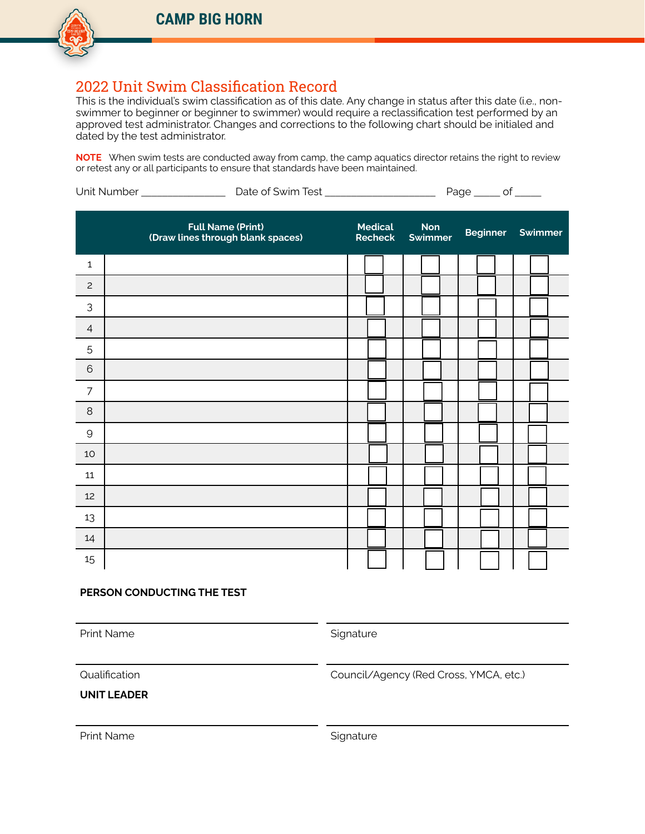# 2022 Unit Swim Classification Record

This is the individual's swim classification as of this date. Any change in status after this date (i.e., nonswimmer to beginner or beginner to swimmer) would require a reclassification test performed by an approved test administrator. Changes and corrections to the following chart should be initialed and dated by the test administrator.

**NOTE** When swim tests are conducted away from camp, the camp aquatics director retains the right to review or retest any or all participants to ensure that standards have been maintained.

|                |  | <b>Full Name (Print)</b><br>(Draw lines through blank spaces) | <b>Medical</b><br><b>Recheck</b> |  | Non<br><b>Swimmer</b> |  | <b>Beginner</b> |  | <b>Service Service</b> | Swimmer |  |  |  |  |
|----------------|--|---------------------------------------------------------------|----------------------------------|--|-----------------------|--|-----------------|--|------------------------|---------|--|--|--|--|
| 1              |  |                                                               |                                  |  |                       |  |                 |  |                        |         |  |  |  |  |
| $\mathsf{S}$   |  |                                                               |                                  |  |                       |  |                 |  |                        |         |  |  |  |  |
| 3              |  |                                                               |                                  |  |                       |  |                 |  |                        |         |  |  |  |  |
| $\overline{4}$ |  |                                                               |                                  |  |                       |  |                 |  |                        |         |  |  |  |  |
| 5              |  |                                                               |                                  |  |                       |  |                 |  |                        |         |  |  |  |  |
| $6\phantom{1}$ |  |                                                               |                                  |  |                       |  |                 |  |                        |         |  |  |  |  |
| $\overline{7}$ |  |                                                               |                                  |  |                       |  |                 |  |                        |         |  |  |  |  |
| $\,8\,$        |  |                                                               |                                  |  |                       |  |                 |  |                        |         |  |  |  |  |
| $\mathsf{9}$   |  |                                                               |                                  |  |                       |  |                 |  |                        |         |  |  |  |  |
| 10             |  |                                                               |                                  |  |                       |  |                 |  |                        |         |  |  |  |  |
| 11             |  |                                                               |                                  |  |                       |  |                 |  |                        |         |  |  |  |  |
| 12             |  |                                                               |                                  |  |                       |  |                 |  |                        |         |  |  |  |  |
| 13             |  |                                                               |                                  |  |                       |  |                 |  |                        |         |  |  |  |  |
| 14             |  |                                                               |                                  |  |                       |  |                 |  |                        |         |  |  |  |  |
| 15             |  |                                                               |                                  |  |                       |  |                 |  |                        |         |  |  |  |  |

## **PERSON CONDUCTING THE TEST**

Print Name Signature

Qualification Council/Agency (Red Cross, YMCA, etc.)

**UNIT LEADER**

Print Name Signature